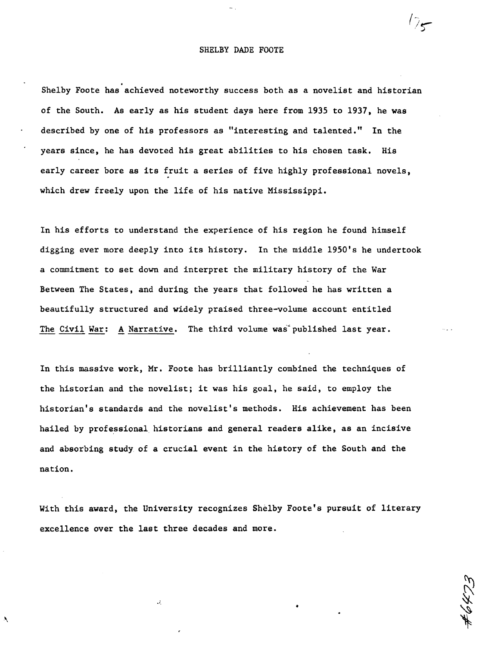## SHELBY DADE FOOTE

. Shelby Foote has achieved noteworthy success both as a novelist and historian of the South. As early as his student days here from 1935 to 1937, he was described by one of his professors as "interesting and talented." In the years since, he has devoted his great abilities to his chosen task. His early career bore as its fruit a series of five highly professional novels, which drew freely upon the life of his native Mississippi.

In his efforts to understand the experience of his region he found himself digging ever more deeply into its history. In the middle 1950's he undertook a commitment to set down and interpret the military history of the War Between The States, and during the years that followed he has written a beautifully structured and widely praised three-volume account entitled The Civil War: A Narrative. The third volume was published last year.

In this massive work, Mr. Foote has brilliantly combined the techniques of the historian and the novelist; it was his goal, he said, to employ the historian's standards and the novelist's methods. His achievement has been hailed by professional historians and general readers alike, as an incisive and absorbing study of a crucial event in the history of the South and the nation.

With this award, the University recognizes Shelby Foote's pursuit of literary excellence over the last three decades and more.

•

 $\sqrt{\frac{1}{2}}$ 

..',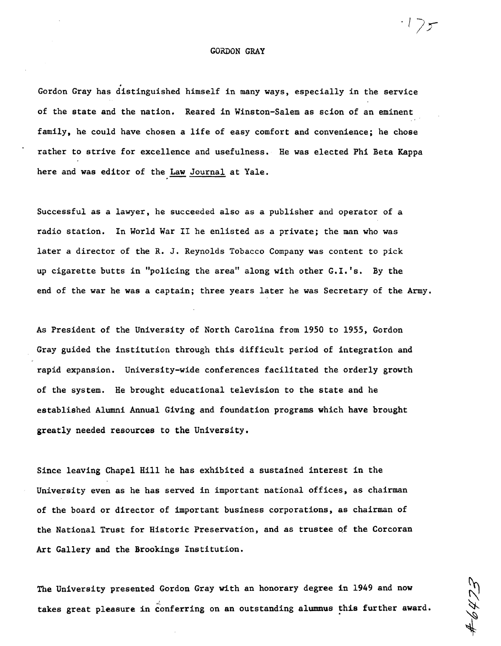## GORDON GRAY

.<br>.<br>. Gordon Gray has distinguished himself in many ways, especially in the service of the state and the nation. Reared in Winston-Salem as scion of an eminent family, he could have chosen a life of easy comfort and convenience; he chose rather to strive for excellence and usefulness. He was elected Phi Beta Kappa here and was editor of the Law Journal at Yale.

Successful as a lawyer, he succeeded also as a publisher and operator of a radio station. In World War II he enlisted as a private; the man who was later a director of the R. J. Reynolds Tobacco Company was content to pick up cigarette butts in "policing the area" along with other  $G.I.'s.$  By the end of the war he was a captain; three years later he was Secretary of the Army.

As President of the University of North Carolina from 1950 to 1955, Gordon Gray guided the institution through this difficult period of integration and rapid expansion. University-wide conferences facilitated the orderly growth of the system. He brought educational television to the state and he established Alumni Annual Giving and foundation programs which have brought greatly needed resources to the University.

Since leaving Chapel Hill he has exhibited a sustained interest in the University even as he has served in important national offices, as chairman of the board or director of important business corporations, as chairman of the National Trust for Historic Preservation, and as trustee of the Corcoran Art Gallery and the Brookings Institution.

The University presented Gordon Gray with an honorary degree in 1949 and now takes great pleasure in conferring on an outstanding alumnus this further award.

*-llr*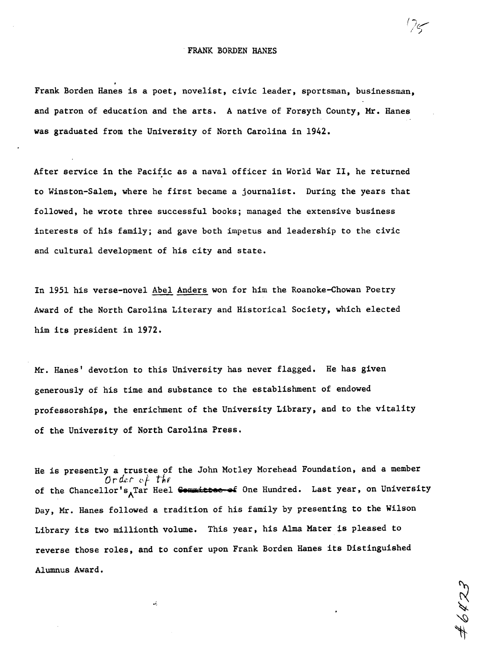$(2\epsilon)$ ;' )

Frank Borden Hanes is a poet, novelist, civic leader, sportsman, businessman, and patron of education and the arts. A native of Forsyth County, Mr. Hanes was graduated from the University of North Carolina in 1942.

After service in the Pacific as a naval officer in World War II, he returned to Winston-Salem, where he first became a journalist. During the years that followed, he wrote three successful books; managed the extensive business interests of his family; and gave both impetus and leadership to the civic and cultural development of his city and state.

In 1951 his verse-novel Abel Anders won for him the Roanoke-Chowan Poetry Award of the North Carolina Literary and Historical Society, which elected him its president in 1972.

Mr. Hanes' devotion to this University has never flagged. He has given generously of his time and substance to the establishment of endowed professorships, the enrichment of the University Library, and to the vitality of the University of Nprth Carolina Press.

He is presently a trustee of the John Motley Morehead Foundation, and a member *Order* of the of the Chancellor's<sub>A</sub>Tar Heel <del>Committee of</del> One Hundred. Last year, on University Day, Mr. Hanes followed a tradition of his family by presenting to the Wilson Library its two millionth volume. This year, his Alma Mater is pleased to reverse those roles, and to confer upon Frank Borden Hanes its Distinguished Alumnus Award.

 $\ddotsc$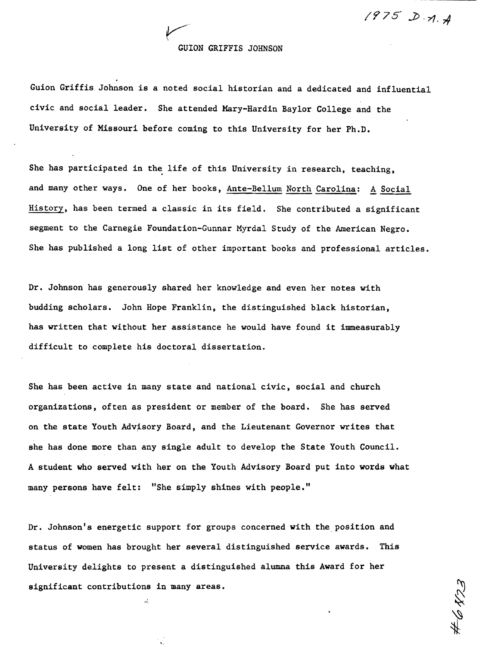$1975D.7.7$ 

## GUION GRIFFIS JOHNSON

~,/

Guion Griffis Johnson is a noted social historian and a dedicated and influential civic and social leader. She attended Mary-Hardin Baylor College and the University of Missouri before coming to this University for her Ph.D.

She has participated in the life of this University in research, teaching, and many other ways. One of her books, Ante-Bellum North Carolina: A Social History, has been termed a classic in its field. She contributed a significant segment to the Carnegie Foundation-Gunnar Myrdal Study of the American Negro. She has published a long list of other important books and professional articles.

Dr. Johnson has generously shared her knowledge and even her notes with budding scholars. John Hope Franklin, the distinguished black historian, has written that without her assistance he would have found it immeasurably difficult to complete his doctoral dissertation.

She has been active in many state and national civic, social and church organizations, often as president or member of the board. She has served on the state Youth Advisory Board, and the Lieutenant Governor writes that she has done more than any single adult to develop the State Youth Council. A student who served with her on the Youth Advisory Board put into words what many persons have felt: "She simply shines with people."

Dr. Johnson's energetic support for groups concerned with the position and status of women has brought her several distinguished service awards. This University delights to present a distinguished alumna this Award for her significant contributions in many areas.

•...

'.